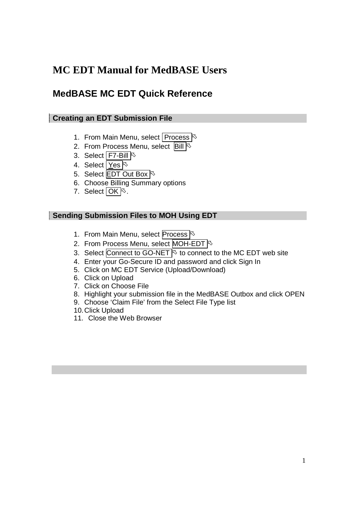# **MC EDT Manual for MedBASE Users**

## **MedBASE MC EDT Quick Reference**

#### **Creating an EDT Submission File**

- 1. From Main Menu, select Process  $\frac{1}{5}$
- 2. From Process Menu, select  $\overline{Bill}$
- 3. Select F7-Bill
- 4. Select Yes
- 5. Select **EDT** Out Box  $\sqrt{5}$
- 6. Choose Billing Summary options
- 7. Select  $OK \otimes$ .

#### **Sending Submission Files to MOH Using EDT**

- 1. From Main Menu, select Process
- 2. From Process Menu, select MOH-EDT
- 3. Select Connect to GO-NET  $\&$  to connect to the MC EDT web site
- 4. Enter your Go-Secure ID and password and click Sign In
- 5. Click on MC EDT Service (Upload/Download)
- 6. Click on Upload
- 7. Click on Choose File
- 8. Highlight your submission file in the MedBASE Outbox and click OPEN
- 9. Choose 'Claim File' from the Select File Type list
- 10. Click Upload
- 11. Close the Web Browser